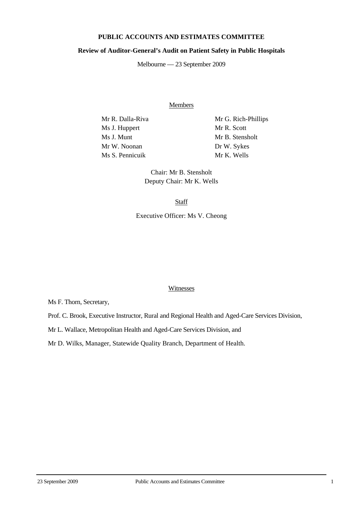# **PUBLIC ACCOUNTS AND ESTIMATES COMMITTEE**

#### **Review of Auditor-General's Audit on Patient Safety in Public Hospitals**

Melbourne — 23 September 2009

**Members** 

Ms J. Huppert Mr R. Scott Ms J. Munt Mr B. Stensholt Mr W. Noonan Dr W. Sykes Ms S. Pennicuik Mr K. Wells

Mr R. Dalla-Riva Mr G. Rich-Phillips

Chair: Mr B. Stensholt Deputy Chair: Mr K. Wells

**Staff** 

Executive Officer: Ms V. Cheong

#### **Witnesses**

Ms F. Thorn, Secretary,

Prof. C. Brook, Executive Instructor, Rural and Regional Health and Aged-Care Services Division,

Mr L. Wallace, Metropolitan Health and Aged-Care Services Division, and

Mr D. Wilks, Manager, Statewide Quality Branch, Department of Health.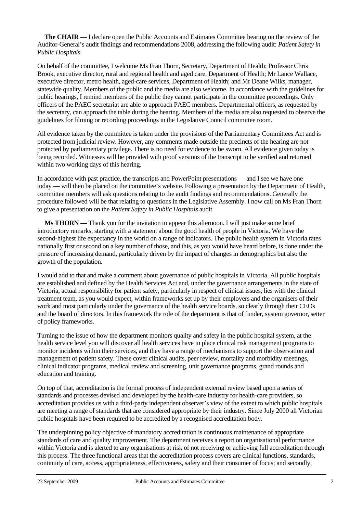**The CHAIR** — I declare open the Public Accounts and Estimates Committee hearing on the review of the Auditor-General's audit findings and recommendations 2008, addressing the following audit: *Patient Safety in Public Hospitals*.

On behalf of the committee, I welcome Ms Fran Thorn, Secretary, Department of Health; Professor Chris Brook, executive director, rural and regional health and aged care, Department of Health; Mr Lance Wallace, executive director, metro health, aged-care services, Department of Health; and Mr Deane Wilks, manager, statewide quality. Members of the public and the media are also welcome. In accordance with the guidelines for public hearings, I remind members of the public they cannot participate in the committee proceedings. Only officers of the PAEC secretariat are able to approach PAEC members. Departmental officers, as requested by the secretary, can approach the table during the hearing. Members of the media are also requested to observe the guidelines for filming or recording proceedings in the Legislative Council committee room.

All evidence taken by the committee is taken under the provisions of the Parliamentary Committees Act and is protected from judicial review. However, any comments made outside the precincts of the hearing are not protected by parliamentary privilege. There is no need for evidence to be sworn. All evidence given today is being recorded. Witnesses will be provided with proof versions of the transcript to be verified and returned within two working days of this hearing.

In accordance with past practice, the transcripts and PowerPoint presentations — and I see we have one today — will then be placed on the committee's website. Following a presentation by the Department of Health, committee members will ask questions relating to the audit findings and recommendations. Generally the procedure followed will be that relating to questions in the Legislative Assembly. I now call on Ms Fran Thorn to give a presentation on the *Patient Safety in Public Hospitals* audit.

**Ms THORN** — Thank you for the invitation to appear this afternoon. I will just make some brief introductory remarks, starting with a statement about the good health of people in Victoria. We have the second-highest life expectancy in the world on a range of indicators. The public health system in Victoria rates nationally first or second on a key number of those, and this, as you would have heard before, is done under the pressure of increasing demand, particularly driven by the impact of changes in demographics but also the growth of the population.

I would add to that and make a comment about governance of public hospitals in Victoria. All public hospitals are established and defined by the Health Services Act and, under the governance arrangements in the state of Victoria, actual responsibility for patient safety, particularly in respect of clinical issues, lies with the clinical treatment team, as you would expect, within frameworks set up by their employers and the organisers of their work and most particularly under the governance of the health service boards, so clearly through their CEOs and the board of directors. In this framework the role of the department is that of funder, system governor, setter of policy frameworks.

Turning to the issue of how the department monitors quality and safety in the public hospital system, at the health service level you will discover all health services have in place clinical risk management programs to monitor incidents within their services, and they have a range of mechanisms to support the observation and management of patient safety. These cover clinical audits, peer review, mortality and morbidity meetings, clinical indicator programs, medical review and screening, unit governance programs, grand rounds and education and training.

On top of that, accreditation is the formal process of independent external review based upon a series of standards and processes devised and developed by the health-care industry for health-care providers, so accreditation provides us with a third-party independent observer's view of the extent to which public hospitals are meeting a range of standards that are considered appropriate by their industry. Since July 2000 all Victorian public hospitals have been required to be accredited by a recognised accreditation body.

The underpinning policy objective of mandatory accreditation is continuous maintenance of appropriate standards of care and quality improvement. The department receives a report on organisational performance within Victoria and is alerted to any organisations at risk of not receiving or achieving full accreditation through this process. The three functional areas that the accreditation process covers are clinical functions, standards, continuity of care, access, appropriateness, effectiveness, safety and their consumer of focus; and secondly,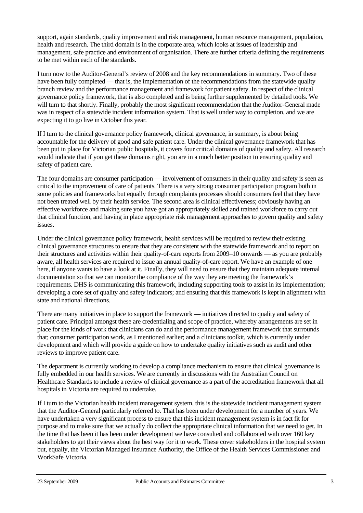support, again standards, quality improvement and risk management, human resource management, population, health and research. The third domain is in the corporate area, which looks at issues of leadership and management, safe practice and environment of organisation. There are further criteria defining the requirements to be met within each of the standards.

I turn now to the Auditor-General's review of 2008 and the key recommendations in summary. Two of these have been fully completed — that is, the implementation of the recommendations from the statewide quality branch review and the performance management and framework for patient safety. In respect of the clinical governance policy framework, that is also completed and is being further supplemented by detailed tools. We will turn to that shortly. Finally, probably the most significant recommendation that the Auditor-General made was in respect of a statewide incident information system. That is well under way to completion, and we are expecting it to go live in October this year.

If I turn to the clinical governance policy framework, clinical governance, in summary, is about being accountable for the delivery of good and safe patient care. Under the clinical governance framework that has been put in place for Victorian public hospitals, it covers four critical domains of quality and safety. All research would indicate that if you get these domains right, you are in a much better position to ensuring quality and safety of patient care.

The four domains are consumer participation — involvement of consumers in their quality and safety is seen as critical to the improvement of care of patients. There is a very strong consumer participation program both in some policies and frameworks but equally through complaints processes should consumers feel that they have not been treated well by their health service. The second area is clinical effectiveness; obviously having an effective workforce and making sure you have got an appropriately skilled and trained workforce to carry out that clinical function, and having in place appropriate risk management approaches to govern quality and safety issues.

Under the clinical governance policy framework, health services will be required to review their existing clinical governance structures to ensure that they are consistent with the statewide framework and to report on their structures and activities within their quality-of-care reports from 2009–10 onwards — as you are probably aware, all health services are required to issue an annual quality-of-care report. We have an example of one here, if anyone wants to have a look at it. Finally, they will need to ensure that they maintain adequate internal documentation so that we can monitor the compliance of the way they are meeting the framework's requirements. DHS is communicating this framework, including supporting tools to assist in its implementation; developing a core set of quality and safety indicators; and ensuring that this framework is kept in alignment with state and national directions.

There are many initiatives in place to support the framework — initiatives directed to quality and safety of patient care. Principal amongst these are credentialing and scope of practice, whereby arrangements are set in place for the kinds of work that clinicians can do and the performance management framework that surrounds that; consumer participation work, as I mentioned earlier; and a clinicians toolkit, which is currently under development and which will provide a guide on how to undertake quality initiatives such as audit and other reviews to improve patient care.

The department is currently working to develop a compliance mechanism to ensure that clinical governance is fully embedded in our health services. We are currently in discussions with the Australian Council on Healthcare Standards to include a review of clinical governance as a part of the accreditation framework that all hospitals in Victoria are required to undertake.

If I turn to the Victorian health incident management system, this is the statewide incident management system that the Auditor-General particularly referred to. That has been under development for a number of years. We have undertaken a very significant process to ensure that this incident management system is in fact fit for purpose and to make sure that we actually do collect the appropriate clinical information that we need to get. In the time that has been it has been under development we have consulted and collaborated with over 160 key stakeholders to get their views about the best way for it to work. These cover stakeholders in the hospital system but, equally, the Victorian Managed Insurance Authority, the Office of the Health Services Commissioner and WorkSafe Victoria.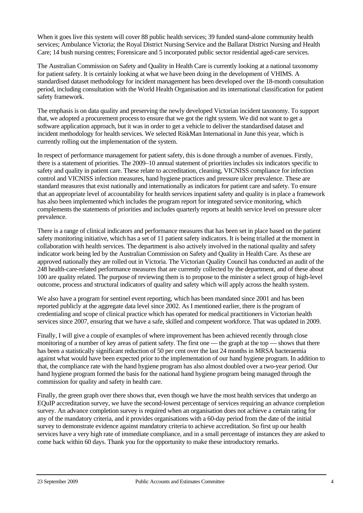When it goes live this system will cover 88 public health services; 39 funded stand-alone community health services; Ambulance Victoria; the Royal District Nursing Service and the Ballarat District Nursing and Health Care; 14 bush nursing centres; Forensicare and 5 incorporated public sector residential aged-care services.

The Australian Commission on Safety and Quality in Health Care is currently looking at a national taxonomy for patient safety. It is certainly looking at what we have been doing in the development of VHIMS. A standardised dataset methodology for incident management has been developed over the 18-month consultation period, including consultation with the World Health Organisation and its international classification for patient safety framework.

The emphasis is on data quality and preserving the newly developed Victorian incident taxonomy. To support that, we adopted a procurement process to ensure that we got the right system. We did not want to get a software application approach, but it was in order to get a vehicle to deliver the standardised dataset and incident methodology for health services. We selected RiskMan International in June this year, which is currently rolling out the implementation of the system.

In respect of performance management for patient safety, this is done through a number of avenues. Firstly, there is a statement of priorities. The 2009–10 annual statement of priorities includes six indicators specific to safety and quality in patient care. These relate to accreditation, cleaning, VICNISS compliance for infection control and VICNISS infection measures, hand hygiene practices and pressure ulcer prevalence. These are standard measures that exist nationally and internationally as indicators for patient care and safety. To ensure that an appropriate level of accountability for health services inpatient safety and quality is in place a framework has also been implemented which includes the program report for integrated service monitoring, which complements the statements of priorities and includes quarterly reports at health service level on pressure ulcer prevalence.

There is a range of clinical indicators and performance measures that has been set in place based on the patient safety monitoring initiative, which has a set of 11 patient safety indicators. It is being trialled at the moment in collaboration with health services. The department is also actively involved in the national quality and safety indicator work being led by the Australian Commission on Safety and Quality in Health Care. As these are approved nationally they are rolled out in Victoria. The Victorian Quality Council has conducted an audit of the 248 health-care-related performance measures that are currently collected by the department, and of these about 100 are quality related. The purpose of reviewing them is to propose to the minister a select group of high-level outcome, process and structural indicators of quality and safety which will apply across the health system.

We also have a program for sentinel event reporting, which has been mandated since 2001 and has been reported publicly at the aggregate data level since 2002. As I mentioned earlier, there is the program of credentialing and scope of clinical practice which has operated for medical practitioners in Victorian health services since 2007, ensuring that we have a safe, skilled and competent workforce. That was updated in 2009.

Finally, I will give a couple of examples of where improvement has been achieved recently through close monitoring of a number of key areas of patient safety. The first one — the graph at the top — shows that there has been a statistically significant reduction of 50 per cent over the last 24 months in MRSA bacteraemia against what would have been expected prior to the implementation of our hand hygiene program. In addition to that, the compliance rate with the hand hygiene program has also almost doubled over a two-year period. Our hand hygiene program formed the basis for the national hand hygiene program being managed through the commission for quality and safety in health care.

Finally, the green graph over there shows that, even though we have the most health services that undergo an EQuIP accreditation survey, we have the second-lowest percentage of services requiring an advance completion survey. An advance completion survey is required when an organisation does not achieve a certain rating for any of the mandatory criteria, and it provides organisations with a 60-day period from the date of the initial survey to demonstrate evidence against mandatory criteria to achieve accreditation. So first up our health services have a very high rate of immediate compliance, and in a small percentage of instances they are asked to come back within 60 days. Thank you for the opportunity to make these introductory remarks.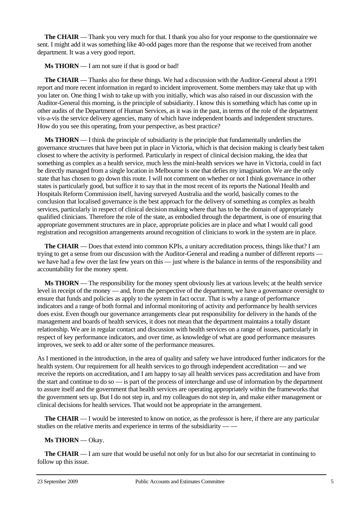**The CHAIR** — Thank you very much for that. I thank you also for your response to the questionnaire we sent. I might add it was something like 40-odd pages more than the response that we received from another department. It was a very good report.

**Ms THORN** — I am not sure if that is good or bad!

**The CHAIR** — Thanks also for these things. We had a discussion with the Auditor-General about a 1991 report and more recent information in regard to incident improvement. Some members may take that up with you later on. One thing I wish to take up with you initially, which was also raised in our discussion with the Auditor-General this morning, is the principle of subsidiarity. I know this is something which has come up in other audits of the Department of Human Services, as it was in the past, in terms of the role of the department vis-a-vis the service delivery agencies, many of which have independent boards and independent structures. How do you see this operating, from your perspective, as best practice?

**Ms THORN** — I think the principle of subsidiarity is the principle that fundamentally underlies the governance structures that have been put in place in Victoria, which is that decision making is clearly best taken closest to where the activity is performed. Particularly in respect of clinical decision making, the idea that something as complex as a health service, much less the mini-health services we have in Victoria, could in fact be directly managed from a single location in Melbourne is one that defies my imagination. We are the only state that has chosen to go down this route. I will not comment on whether or not I think governance in other states is particularly good, but suffice it to say that in the most recent of its reports the National Health and Hospitals Reform Commission itself, having surveyed Australia and the world, basically comes to the conclusion that localised governance is the best approach for the delivery of something as complex as health services, particularly in respect of clinical decision making where that has to be the domain of appropriately qualified clinicians. Therefore the role of the state, as embodied through the department, is one of ensuring that appropriate government structures are in place, appropriate policies are in place and what I would call good registration and recognition arrangements around recognition of clinicians to work in the system are in place.

**The CHAIR** — Does that extend into common KPIs, a unitary accreditation process, things like that? I am trying to get a sense from our discussion with the Auditor-General and reading a number of different reports we have had a few over the last few years on this — just where is the balance in terms of the responsibility and accountability for the money spent.

**Ms THORN** — The responsibility for the money spent obviously lies at various levels; at the health service level in receipt of the money — and, from the perspective of the department, we have a governance oversight to ensure that funds and policies as apply to the system in fact occur. That is why a range of performance indicators and a range of both formal and informal monitoring of activity and performance by health services does exist. Even though our governance arrangements clear put responsibility for delivery in the hands of the management and boards of health services, it does not mean that the department maintains a totally distant relationship. We are in regular contact and discussion with health services on a range of issues, particularly in respect of key performance indicators, and over time, as knowledge of what are good performance measures improves, we seek to add or alter some of the performance measures.

As I mentioned in the introduction, in the area of quality and safety we have introduced further indicators for the health system. Our requirement for all health services to go through independent accreditation — and we receive the reports on accreditation, and I am happy to say all health services pass accreditation and have from the start and continue to do so — is part of the process of interchange and use of information by the department to assure itself and the government that health services are operating appropriately within the frameworks that the government sets up. But I do not step in, and my colleagues do not step in, and make either management or clinical decisions for health services. That would not be appropriate in the arrangement.

**The CHAIR** — I would be interested to know on notice, as the professor is here, if there are any particular studies on the relative merits and experience in terms of the subsidiarity -

# **Ms THORN** — Okay.

**The CHAIR** — I am sure that would be useful not only for us but also for our secretariat in continuing to follow up this issue.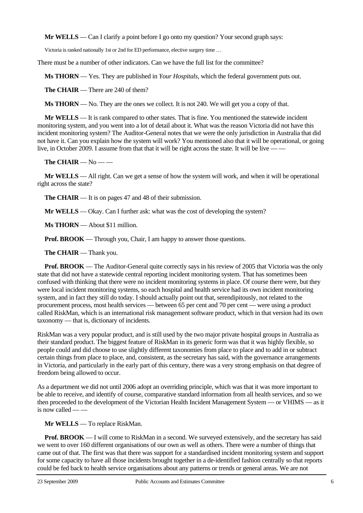**Mr WELLS** — Can I clarify a point before I go onto my question? Your second graph says:

Victoria is ranked nationally 1st or 2nd for ED performance, elective surgery time …

There must be a number of other indicators. Can we have the full list for the committee?

**Ms THORN** — Yes. They are published in *Your Hospitals,* which the federal government puts out.

**The CHAIR** — There are 240 of them?

**Ms THORN** — No. They are the ones we collect. It is not 240. We will get you a copy of that.

**Mr WELLS** — It is rank compared to other states. That is fine. You mentioned the statewide incident monitoring system, and you went into a lot of detail about it. What was the reason Victoria did not have this incident monitoring system? The Auditor-General notes that we were the only jurisdiction in Australia that did not have it. Can you explain how the system will work? You mentioned also that it will be operational, or going live, in October 2009. I assume from that that it will be right across the state. It will be live — —

**The CHAIR** — No — —

**Mr WELLS** — All right. Can we get a sense of how the system will work, and when it will be operational right across the state?

**The CHAIR** — It is on pages 47 and 48 of their submission.

**Mr WELLS** — Okay. Can I further ask: what was the cost of developing the system?

**Ms THORN** — About \$11 million.

**Prof. BROOK** — Through you, Chair, I am happy to answer those questions.

**The CHAIR** — Thank you.

**Prof. BROOK** — The Auditor-General quite correctly says in his review of 2005 that Victoria was the only state that did not have a statewide central reporting incident monitoring system. That has sometimes been confused with thinking that there were no incident monitoring systems in place. Of course there were, but they were local incident monitoring systems, so each hospital and health service had its own incident monitoring system, and in fact they still do today. I should actually point out that, serendipitously, not related to the procurement process, most health services — between 65 per cent and 70 per cent — were using a product called RiskMan, which is an international risk management software product, which in that version had its own taxonomy — that is, dictionary of incidents.

RiskMan was a very popular product, and is still used by the two major private hospital groups in Australia as their standard product. The biggest feature of RiskMan in its generic form was that it was highly flexible, so people could and did choose to use slightly different taxonomies from place to place and to add in or subtract certain things from place to place, and, consistent, as the secretary has said, with the governance arrangements in Victoria, and particularly in the early part of this century, there was a very strong emphasis on that degree of freedom being allowed to occur.

As a department we did not until 2006 adopt an overriding principle, which was that it was more important to be able to receive, and identify of course, comparative standard information from all health services, and so we then proceeded to the development of the Victorian Health Incident Management System — or VHIMS — as it is now called — —

**Mr WELLS** — To replace RiskMan.

**Prof. BROOK** — I will come to RiskMan in a second. We surveyed extensively, and the secretary has said we went to over 160 different organisations of our own as well as others. There were a number of things that came out of that. The first was that there was support for a standardised incident monitoring system and support for some capacity to have all those incidents brought together in a de-identified fashion centrally so that reports could be fed back to health service organisations about any patterns or trends or general areas. We are not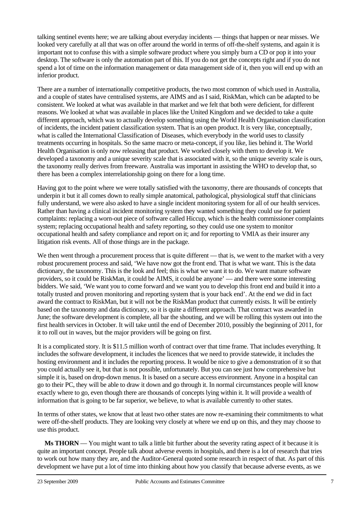talking sentinel events here; we are talking about everyday incidents — things that happen or near misses. We looked very carefully at all that was on offer around the world in terms of off-the-shelf systems, and again it is important not to confuse this with a simple software product where you simply burn a CD or pop it into your desktop. The software is only the automation part of this. If you do not get the concepts right and if you do not spend a lot of time on the information management or data management side of it, then you will end up with an inferior product.

There are a number of internationally competitive products, the two most common of which used in Australia, and a couple of states have centralised systems, are AIMS and as I said, RiskMan, which can be adapted to be consistent. We looked at what was available in that market and we felt that both were deficient, for different reasons. We looked at what was available in places like the United Kingdom and we decided to take a quite different approach, which was to actually develop something using the World Health Organisation classification of incidents, the incident patient classification system. That is an open product. It is very like, conceptually, what is called the International Classification of Diseases, which everybody in the world uses to classify treatments occurring in hospitals. So the same macro or meta-concept, if you like, lies behind it. The World Health Organisation is only now releasing that product. We worked closely with them to develop it. We developed a taxonomy and a unique severity scale that is associated with it, so the unique severity scale is ours, the taxonomy really derives from freeware. Australia was important in assisting the WHO to develop that, so there has been a complex interrelationship going on there for a long time.

Having got to the point where we were totally satisfied with the taxonomy, there are thousands of concepts that underpin it but it all comes down to really simple anatomical, pathological, physiological stuff that clinicians fully understand, we were also asked to have a single incident monitoring system for all of our health services. Rather than having a clinical incident monitoring system they wanted something they could use for patient complaints: replacing a worn-out piece of software called Hiccup, which is the health commissioner complaints system; replacing occupational health and safety reporting, so they could use one system to monitor occupational health and safety compliance and report on it; and for reporting to VMIA as their insurer any litigation risk events. All of those things are in the package.

We then went through a procurement process that is quite different — that is, we went to the market with a very robust procurement process and said, 'We have now got the front end. That is what we want. This is the data dictionary, the taxonomy. This is the look and feel; this is what we want it to do. We want mature software providers, so it could be RiskMan, it could be AIMS, it could be anyone' — and there were some interesting bidders. We said, 'We want you to come forward and we want you to develop this front end and build it into a totally trusted and proven monitoring and reporting system that is your back end'. At the end we did in fact award the contract to RiskMan, but it will not be the RiskMan product that currently exists. It will be entirely based on the taxonomy and data dictionary, so it is quite a different approach. That contract was awarded in June; the software development is complete, all bar the shouting, and we will be rolling this system out into the first health services in October. It will take until the end of December 2010, possibly the beginning of 2011, for it to roll out in waves, but the major providers will be going on first.

It is a complicated story. It is \$11.5 million worth of contract over that time frame. That includes everything. It includes the software development, it includes the licences that we need to provide statewide, it includes the hosting environment and it includes the reporting process. It would be nice to give a demonstration of it so that you could actually see it, but that is not possible, unfortunately. But you can see just how comprehensive but simple it is, based on drop-down menus. It is based on a secure access environment. Anyone in a hospital can go to their PC, they will be able to draw it down and go through it. In normal circumstances people will know exactly where to go, even though there are thousands of concepts lying within it. It will provide a wealth of information that is going to be far superior, we believe, to what is available currently to other states.

In terms of other states, we know that at least two other states are now re-examining their commitments to what were off-the-shelf products. They are looking very closely at where we end up on this, and they may choose to use this product.

**Ms THORN** — You might want to talk a little bit further about the severity rating aspect of it because it is quite an important concept. People talk about adverse events in hospitals, and there is a lot of research that tries to work out how many they are, and the Auditor-General quoted some research in respect of that. As part of this development we have put a lot of time into thinking about how you classify that because adverse events, as we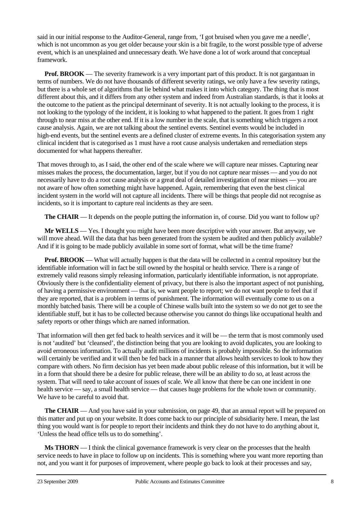said in our initial response to the Auditor-General, range from, 'I got bruised when you gave me a needle', which is not uncommon as you get older because your skin is a bit fragile, to the worst possible type of adverse event, which is an unexplained and unnecessary death. We have done a lot of work around that conceptual framework.

**Prof. BROOK** — The severity framework is a very important part of this product. It is not gargantuan in terms of numbers. We do not have thousands of different severity ratings, we only have a few severity ratings, but there is a whole set of algorithms that lie behind what makes it into which category. The thing that is most different about this, and it differs from any other system and indeed from Australian standards, is that it looks at the outcome to the patient as the principal determinant of severity. It is not actually looking to the process, it is not looking to the typology of the incident, it is looking to what happened to the patient. It goes from 1 right through to near miss at the other end. If it is a low number in the scale, that is something which triggers a root cause analysis. Again, we are not talking about the sentinel events. Sentinel events would be included in high-end events, but the sentinel events are a defined cluster of extreme events. In this categorisation system any clinical incident that is categorised as 1 must have a root cause analysis undertaken and remediation steps documented for what happens thereafter.

That moves through to, as I said, the other end of the scale where we will capture near misses. Capturing near misses makes the process, the documentation, larger, but if you do not capture near misses — and you do not necessarily have to do a root cause analysis or a great deal of detailed investigation of near misses — you are not aware of how often something might have happened. Again, remembering that even the best clinical incident system in the world will not capture all incidents. There will be things that people did not recognise as incidents, so it is important to capture real incidents as they are seen.

**The CHAIR** — It depends on the people putting the information in, of course. Did you want to follow up?

**Mr WELLS** — Yes. I thought you might have been more descriptive with your answer. But anyway, we will move ahead. Will the data that has been generated from the system be audited and then publicly available? And if it is going to be made publicly available in some sort of format, what will be the time frame?

**Prof. BROOK** — What will actually happen is that the data will be collected in a central repository but the identifiable information will in fact be still owned by the hospital or health service. There is a range of extremely valid reasons simply releasing information, particularly identifiable information, is not appropriate. Obviously there is the confidentiality element of privacy, but there is also the important aspect of not punishing, of having a permissive environment — that is, we want people to report; we do not want people to feel that if they are reported, that is a problem in terms of punishment. The information will eventually come to us on a monthly batched basis. There will be a couple of Chinese walls built into the system so we do not get to see the identifiable stuff, but it has to be collected because otherwise you cannot do things like occupational health and safety reports or other things which are named information.

That information will then get fed back to health services and it will be — the term that is most commonly used is not 'audited' but 'cleansed', the distinction being that you are looking to avoid duplicates, you are looking to avoid erroneous information. To actually audit millions of incidents is probably impossible. So the information will certainly be verified and it will then be fed back in a manner that allows health services to look to how they compare with others. No firm decision has yet been made about public release of this information, but it will be in a form that should there be a desire for public release, there will be an ability to do so, at least across the system. That will need to take account of issues of scale. We all know that there be can one incident in one health service — say, a small health service — that causes huge problems for the whole town or community. We have to be careful to avoid that.

**The CHAIR** — And you have said in your submission, on page 49, that an annual report will be prepared on this matter and put up on your website. It does come back to our principle of subsidiarity here. I mean, the last thing you would want is for people to report their incidents and think they do not have to do anything about it, 'Unless the head office tells us to do something'.

**Ms THORN** — I think the clinical governance framework is very clear on the processes that the health service needs to have in place to follow up on incidents. This is something where you want more reporting than not, and you want it for purposes of improvement, where people go back to look at their processes and say,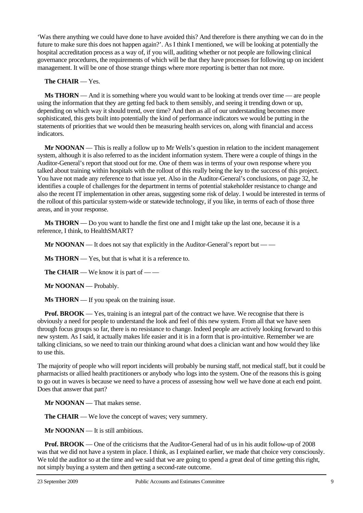'Was there anything we could have done to have avoided this? And therefore is there anything we can do in the future to make sure this does not happen again?'. As I think I mentioned, we will be looking at potentially the hospital accreditation process as a way of, if you will, auditing whether or not people are following clinical governance procedures, the requirements of which will be that they have processes for following up on incident management. It will be one of those strange things where more reporting is better than not more.

### **The CHAIR** — Yes.

**Ms THORN** — And it is something where you would want to be looking at trends over time — are people using the information that they are getting fed back to them sensibly, and seeing it trending down or up, depending on which way it should trend, over time? And then as all of our understanding becomes more sophisticated, this gets built into potentially the kind of performance indicators we would be putting in the statements of priorities that we would then be measuring health services on, along with financial and access indicators.

**Mr NOONAN** — This is really a follow up to Mr Wells's question in relation to the incident management system, although it is also referred to as the incident information system. There were a couple of things in the Auditor-General's report that stood out for me. One of them was in terms of your own response where you talked about training within hospitals with the rollout of this really being the key to the success of this project. You have not made any reference to that issue yet. Also in the Auditor-General's conclusions, on page 32, he identifies a couple of challenges for the department in terms of potential stakeholder resistance to change and also the recent IT implementation in other areas, suggesting some risk of delay. I would be interested in terms of the rollout of this particular system-wide or statewide technology, if you like, in terms of each of those three areas, and in your response.

**Ms THORN** — Do you want to handle the first one and I might take up the last one, because it is a reference, I think, to HealthSMART?

**Mr NOONAN** — It does not say that explicitly in the Auditor-General's report but — —

**Ms THORN** — Yes, but that is what it is a reference to.

**The CHAIR** — We know it is part of — —

**Mr NOONAN** — Probably.

**Ms THORN** — If you speak on the training issue.

**Prof. BROOK** — Yes, training is an integral part of the contract we have. We recognise that there is obviously a need for people to understand the look and feel of this new system. From all that we have seen through focus groups so far, there is no resistance to change. Indeed people are actively looking forward to this new system. As I said, it actually makes life easier and it is in a form that is pro-intuitive. Remember we are talking clinicians, so we need to train our thinking around what does a clinician want and how would they like to use this.

The majority of people who will report incidents will probably be nursing staff, not medical staff, but it could be pharmacists or allied health practitioners or anybody who logs into the system. One of the reasons this is going to go out in waves is because we need to have a process of assessing how well we have done at each end point. Does that answer that part?

**Mr NOONAN** — That makes sense.

**The CHAIR** — We love the concept of waves; very summery.

**Mr NOONAN** — It is still ambitious.

**Prof. BROOK** — One of the criticisms that the Auditor-General had of us in his audit follow-up of 2008 was that we did not have a system in place. I think, as I explained earlier, we made that choice very consciously. We told the auditor so at the time and we said that we are going to spend a great deal of time getting this right, not simply buying a system and then getting a second-rate outcome.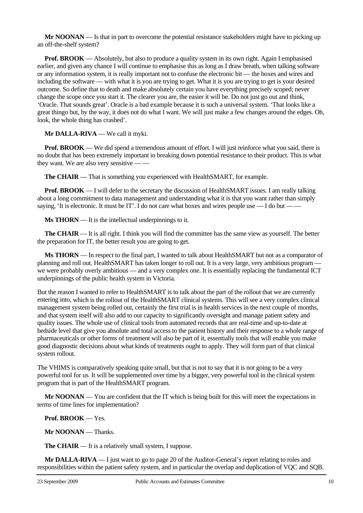**Mr NOONAN** — Is that in part to overcome the potential resistance stakeholders might have to picking up an off-the-shelf system?

**Prof. BROOK** — Absolutely, but also to produce a quality system in its own right. Again I emphasised earlier, and given any chance I will continue to emphasise this as long as I draw breath, when talking software or any information system, it is really important not to confuse the electronic bit — the boxes and wires and including the software — with what it is you are trying to get. What it is you are trying to get is your desired outcome. So define that to death and make absolutely certain you have everything precisely scoped; never change the scope once you start it. The clearer you are, the easier it will be. Do not just go out and think, 'Oracle. That sounds great'. Oracle is a bad example because it is such a universal system. 'That looks like a great thingo but, by the way, it does not do what I want. We will just make a few changes around the edges. Oh, look, the whole thing has crashed'.

**Mr DALLA-RIVA** — We call it myki.

**Prof. BROOK** — We did spend a tremendous amount of effort. I will just reinforce what you said, there is no doubt that has been extremely important in breaking down potential resistance to their product. This is what they want. We are also very sensitive — -

**The CHAIR** — That is something you experienced with HealthSMART, for example.

**Prof. BROOK** — I will defer to the secretary the discussion of HealthSMART issues. I am really talking about a long commitment to data management and understanding what it is that you want rather than simply saying, 'It is electronic. It must be IT'. I do not care what boxes and wires people use  $-$  I do but  $-$ 

**Ms THORN** — It is the intellectual underpinnings to it.

**The CHAIR** — It is all right. I think you will find the committee has the same view as yourself. The better the preparation for IT, the better result you are going to get.

**Ms THORN** — In respect to the final part, I wanted to talk about HealthSMART but not as a comparator of planning and roll out. HealthSMART has taken longer to roll out. It is a very large, very ambitious program we were probably overly ambitious — and a very complex one. It is essentially replacing the fundamental ICT underpinnings of the public health system in Victoria.

But the reason I wanted to refer to HealthSMART is to talk about the part of the rollout that we are currently entering into, which is the rollout of the HealthSMART clinical systems. This will see a very complex clinical management system being rolled out, certainly the first trial is in health services in the next couple of months, and that system itself will also add to our capacity to significantly oversight and manage patient safety and quality issues. The whole use of clinical tools from automated records that are real-time and up-to-date at bedside level that give you absolute and total access to the patient history and their response to a whole range of pharmaceuticals or other forms of treatment will also be part of it, essentially tools that will enable you make good diagnostic decisions about what kinds of treatments ought to apply. They will form part of that clinical system rollout.

The VHIMS is comparatively speaking quite small, but that is not to say that it is not going to be a very powerful tool for us. It will be supplemented over time by a bigger, very powerful tool in the clinical system program that is part of the HealthSMART program.

**Mr NOONAN** — You are confident that the IT which is being built for this will meet the expectations in terms of time lines for implementation?

**Prof. BROOK** — Yes.

**Mr NOONAN** — Thanks.

**The CHAIR** — It is a relatively small system, I suppose.

**Mr DALLA-RIVA** — I just want to go to page 20 of the Auditor-General's report relating to roles and responsibilities within the patient safety system, and in particular the overlap and duplication of VQC and SQB.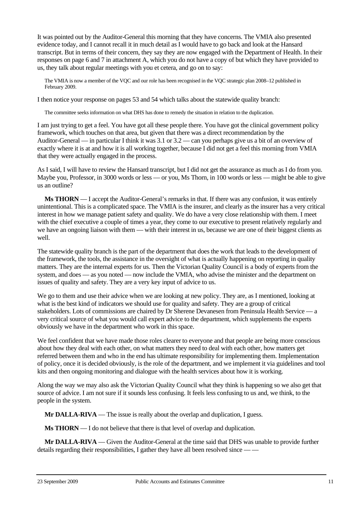It was pointed out by the Auditor-General this morning that they have concerns. The VMIA also presented evidence today, and I cannot recall it in much detail as I would have to go back and look at the Hansard transcript. But in terms of their concern, they say they are now engaged with the Department of Health. In their responses on page 6 and 7 in attachment A, which you do not have a copy of but which they have provided to us, they talk about regular meetings with you et cetera, and go on to say:

The VMIA is now a member of the VQC and our role has been recognised in the VQC strategic plan 2008–12 published in February 2009.

I then notice your response on pages 53 and 54 which talks about the statewide quality branch:

The committee seeks information on what DHS has done to remedy the situation in relation to the duplication.

I am just trying to get a feel. You have got all these people there. You have got the clinical government policy framework, which touches on that area, but given that there was a direct recommendation by the Auditor-General — in particular I think it was 3.1 or 3.2 — can you perhaps give us a bit of an overview of exactly where it is at and how it is all working together, because I did not get a feel this morning from VMIA that they were actually engaged in the process.

As I said, I will have to review the Hansard transcript, but I did not get the assurance as much as I do from you. Maybe you, Professor, in 3000 words or less — or you, Ms Thorn, in 100 words or less — might be able to give us an outline?

**Ms THORN** — I accept the Auditor-General's remarks in that. If there was any confusion, it was entirely unintentional. This is a complicated space. The VMIA is the insurer, and clearly as the insurer has a very critical interest in how we manage patient safety and quality. We do have a very close relationship with them. I meet with the chief executive a couple of times a year, they come to our executive to present relatively regularly and we have an ongoing liaison with them — with their interest in us, because we are one of their biggest clients as well.

The statewide quality branch is the part of the department that does the work that leads to the development of the framework, the tools, the assistance in the oversight of what is actually happening on reporting in quality matters. They are the internal experts for us. Then the Victorian Quality Council is a body of experts from the system, and does — as you noted — now include the VMIA, who advise the minister and the department on issues of quality and safety. They are a very key input of advice to us.

We go to them and use their advice when we are looking at new policy. They are, as I mentioned, looking at what is the best kind of indicators we should use for quality and safety. They are a group of critical stakeholders. Lots of commissions are chaired by Dr Sherene Devanesen from Peninsula Health Service — a very critical source of what you would call expert advice to the department, which supplements the experts obviously we have in the department who work in this space.

We feel confident that we have made those roles clearer to everyone and that people are being more conscious about how they deal with each other, on what matters they need to deal with each other, how matters get referred between them and who in the end has ultimate responsibility for implementing them. Implementation of policy, once it is decided obviously, is the role of the department, and we implement it via guidelines and tool kits and then ongoing monitoring and dialogue with the health services about how it is working.

Along the way we may also ask the Victorian Quality Council what they think is happening so we also get that source of advice. I am not sure if it sounds less confusing. It feels less confusing to us and, we think, to the people in the system.

**Mr DALLA-RIVA** — The issue is really about the overlap and duplication, I guess.

**Ms THORN** — I do not believe that there is that level of overlap and duplication.

**Mr DALLA-RIVA** — Given the Auditor-General at the time said that DHS was unable to provide further details regarding their responsibilities, I gather they have all been resolved since -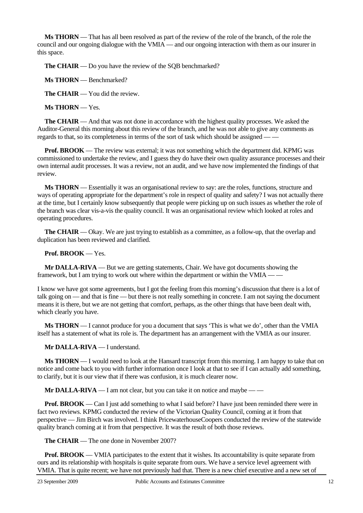**Ms THORN** — That has all been resolved as part of the review of the role of the branch, of the role the council and our ongoing dialogue with the VMIA — and our ongoing interaction with them as our insurer in this space.

**The CHAIR** — Do you have the review of the SOB benchmarked?

**Ms THORN** — Benchmarked?

**The CHAIR** — You did the review.

**Ms THORN** — Yes.

**The CHAIR** — And that was not done in accordance with the highest quality processes. We asked the Auditor-General this morning about this review of the branch, and he was not able to give any comments as regards to that, so its completeness in terms of the sort of task which should be assigned — —

**Prof. BROOK** — The review was external; it was not something which the department did. KPMG was commissioned to undertake the review, and I guess they do have their own quality assurance processes and their own internal audit processes. It was a review, not an audit, and we have now implemented the findings of that review.

**Ms THORN** — Essentially it was an organisational review to say: are the roles, functions, structure and ways of operating appropriate for the department's role in respect of quality and safety? I was not actually there at the time, but I certainly know subsequently that people were picking up on such issues as whether the role of the branch was clear vis-a-vis the quality council. It was an organisational review which looked at roles and operating procedures.

**The CHAIR** — Okay. We are just trying to establish as a committee, as a follow-up, that the overlap and duplication has been reviewed and clarified.

#### **Prof. BROOK** — Yes.

**Mr DALLA-RIVA** — But we are getting statements, Chair. We have got documents showing the framework, but I am trying to work out where within the department or within the VMIA —

I know we have got some agreements, but I got the feeling from this morning's discussion that there is a lot of talk going on — and that is fine — but there is not really something in concrete. I am not saying the document means it is there, but we are not getting that comfort, perhaps, as the other things that have been dealt with, which clearly you have.

**Ms THORN** — I cannot produce for you a document that says 'This is what we do', other than the VMIA itself has a statement of what its role is. The department has an arrangement with the VMIA as our insurer.

**Mr DALLA-RIVA** — I understand.

**Ms THORN** — I would need to look at the Hansard transcript from this morning. I am happy to take that on notice and come back to you with further information once I look at that to see if I can actually add something, to clarify, but it is our view that if there was confusion, it is much clearer now.

**Mr DALLA-RIVA** — I am not clear, but you can take it on notice and maybe — —

**Prof. BROOK** — Can I just add something to what I said before? I have just been reminded there were in fact two reviews. KPMG conducted the review of the Victorian Quality Council, coming at it from that perspective — Jim Birch was involved. I think PricewaterhouseCoopers conducted the review of the statewide quality branch coming at it from that perspective. It was the result of both those reviews.

**The CHAIR** — The one done in November 2007?

**Prof. BROOK** — VMIA participates to the extent that it wishes. Its accountability is quite separate from ours and its relationship with hospitals is quite separate from ours. We have a service level agreement with VMIA. That is quite recent; we have not previously had that. There is a new chief executive and a new set of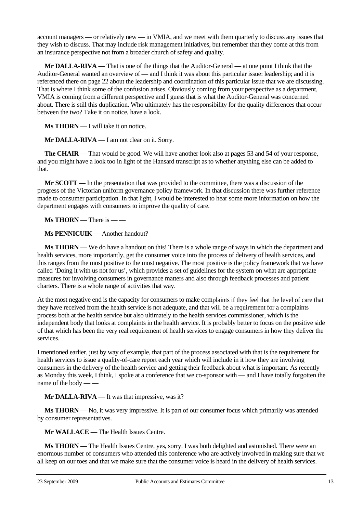account managers — or relatively new — in VMIA, and we meet with them quarterly to discuss any issues that they wish to discuss. That may include risk management initiatives, but remember that they come at this from an insurance perspective not from a broader church of safety and quality.

**Mr DALLA-RIVA** — That is one of the things that the Auditor-General — at one point I think that the Auditor-General wanted an overview of — and I think it was about this particular issue: leadership; and it is referenced there on page 22 about the leadership and coordination of this particular issue that we are discussing. That is where I think some of the confusion arises. Obviously coming from your perspective as a department, VMIA is coming from a different perspective and I guess that is what the Auditor-General was concerned about. There is still this duplication. Who ultimately has the responsibility for the quality differences that occur between the two? Take it on notice, have a look.

**Ms THORN** — I will take it on notice.

**Mr DALLA-RIVA** — I am not clear on it. Sorry.

**The CHAIR** — That would be good. We will have another look also at pages 53 and 54 of your response, and you might have a look too in light of the Hansard transcript as to whether anything else can be added to that.

**Mr SCOTT** — In the presentation that was provided to the committee, there was a discussion of the progress of the Victorian uniform governance policy framework. In that discussion there was further reference made to consumer participation. In that light, I would be interested to hear some more information on how the department engages with consumers to improve the quality of care.

**Ms THORN** — There is — —

**Ms PENNICUIK** — Another handout?

**Ms THORN** — We do have a handout on this! There is a whole range of ways in which the department and health services, more importantly, get the consumer voice into the process of delivery of health services, and this ranges from the most positive to the most negative. The most positive is the policy framework that we have called 'Doing it with us not for us', which provides a set of guidelines for the system on what are appropriate measures for involving consumers in governance matters and also through feedback processes and patient charters. There is a whole range of activities that way.

At the most negative end is the capacity for consumers to make complaints if they feel that the level of care that they have received from the health service is not adequate, and that will be a requirement for a complaints process both at the health service but also ultimately to the health services commissioner, which is the independent body that looks at complaints in the health service. It is probably better to focus on the positive side of that which has been the very real requirement of health services to engage consumers in how they deliver the services.

I mentioned earlier, just by way of example, that part of the process associated with that is the requirement for health services to issue a quality-of-care report each year which will include in it how they are involving consumers in the delivery of the health service and getting their feedback about what is important. As recently as Monday this week, I think, I spoke at a conference that we co-sponsor with — and I have totally forgotten the name of the body — —

**Mr DALLA-RIVA** — It was that impressive, was it?

**Ms THORN** — No, it was very impressive. It is part of our consumer focus which primarily was attended by consumer representatives.

**Mr WALLACE** — The Health Issues Centre.

**Ms THORN** — The Health Issues Centre, yes, sorry. I was both delighted and astonished. There were an enormous number of consumers who attended this conference who are actively involved in making sure that we all keep on our toes and that we make sure that the consumer voice is heard in the delivery of health services.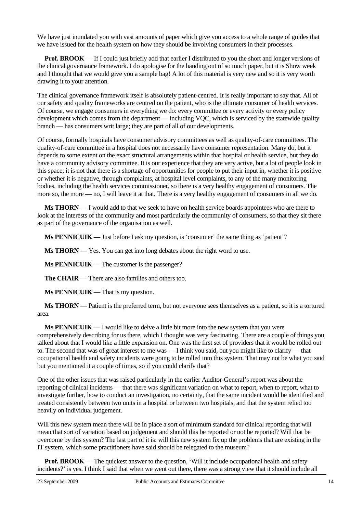We have just inundated you with vast amounts of paper which give you access to a whole range of guides that we have issued for the health system on how they should be involving consumers in their processes.

**Prof. BROOK** — If I could just briefly add that earlier I distributed to you the short and longer versions of the clinical governance framework. I do apologise for the handing out of so much paper, but it is Show week and I thought that we would give you a sample bag! A lot of this material is very new and so it is very worth drawing it to your attention.

The clinical governance framework itself is absolutely patient-centred. It is really important to say that. All of our safety and quality frameworks are centred on the patient, who is the ultimate consumer of health services. Of course, we engage consumers in everything we do: every committee or every activity or every policy development which comes from the department — including VQC, which is serviced by the statewide quality branch — has consumers writ large; they are part of all of our developments.

Of course, formally hospitals have consumer advisory committees as well as quality-of-care committees. The quality-of-care committee in a hospital does not necessarily have consumer representation. Many do, but it depends to some extent on the exact structural arrangements within that hospital or health service, but they do have a community advisory committee. It is our experience that they are very active, but a lot of people look in this space; it is not that there is a shortage of opportunities for people to put their input in, whether it is positive or whether it is negative, through complaints, at hospital level complaints, to any of the many monitoring bodies, including the health services commissioner, so there is a very healthy engagement of consumers. The more so, the more — no, I will leave it at that. There is a very healthy engagement of consumers in all we do.

**Ms THORN** — I would add to that we seek to have on health service boards appointees who are there to look at the interests of the community and most particularly the community of consumers, so that they sit there as part of the governance of the organisation as well.

**Ms PENNICUIK** — Just before I ask my question, is 'consumer' the same thing as 'patient'?

**Ms THORN** — Yes. You can get into long debates about the right word to use.

**Ms PENNICUIK** — The customer is the passenger?

**The CHAIR** — There are also families and others too.

**Ms PENNICUIK** — That is my question.

**Ms THORN** — Patient is the preferred term, but not everyone sees themselves as a patient, so it is a tortured area.

**Ms PENNICUIK** — I would like to delve a little bit more into the new system that you were comprehensively describing for us there, which I thought was very fascinating. There are a couple of things you talked about that I would like a little expansion on. One was the first set of providers that it would be rolled out to. The second that was of great interest to me was — I think you said, but you might like to clarify — that occupational health and safety incidents were going to be rolled into this system. That may not be what you said but you mentioned it a couple of times, so if you could clarify that?

One of the other issues that was raised particularly in the earlier Auditor-General's report was about the reporting of clinical incidents — that there was significant variation on what to report, when to report, what to investigate further, how to conduct an investigation, no certainty, that the same incident would be identified and treated consistently between two units in a hospital or between two hospitals, and that the system relied too heavily on individual judgement.

Will this new system mean there will be in place a sort of minimum standard for clinical reporting that will mean that sort of variation based on judgement and should this be reported or not be reported? Will that be overcome by this system? The last part of it is: will this new system fix up the problems that are existing in the IT system, which some practitioners have said should be relegated to the museum?

**Prof. BROOK** — The quickest answer to the question, 'Will it include occupational health and safety incidents?' is yes. I think I said that when we went out there, there was a strong view that it should include all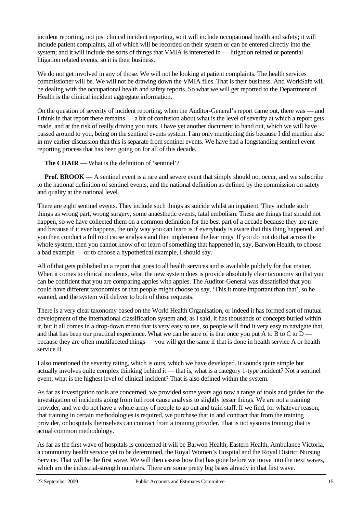incident reporting, not just clinical incident reporting, so it will include occupational health and safety; it will include patient complaints, all of which will be recorded on their system or can be entered directly into the system; and it will include the sorts of things that VMIA is interested in — litigation related or potential litigation related events, so it is their business.

We do not get involved in any of those. We will not be looking at patient complaints. The health services commissioner will be. We will not be drawing down the VMIA files. That is their business. And WorkSafe will be dealing with the occupational health and safety reports. So what we will get reported to the Department of Health is the clinical incident aggregate information.

On the question of severity of incident reporting, when the Auditor-General's report came out, there was — and I think in that report there remains — a bit of confusion about what is the level of severity at which a report gets made, and at the risk of really driving you nuts, I have yet another document to hand out, which we will have passed around to you, being on the sentinel events system. I am only mentioning this because I did mention also in my earlier discussion that this is separate from sentinel events. We have had a longstanding sentinel event reporting process that has been going on for all of this decade.

**The CHAIR** — What is the definition of 'sentinel'?

**Prof. BROOK** — A sentinel event is a rare and severe event that simply should not occur, and we subscribe to the national definition of sentinel events, and the national definition as defined by the commission on safety and quality at the national level.

There are eight sentinel events. They include such things as suicide whilst an inpatient. They include such things as wrong part, wrong surgery, some anaesthetic events, fatal embolism. These are things that should not happen, so we have collected them on a common definition for the best part of a decade because they are rare and because if it ever happens, the only way you can learn is if everybody is aware that this thing happened, and you then conduct a full root cause analysis and then implement the learnings. If you do not do that across the whole system, then you cannot know of or learn of something that happened in, say, Barwon Health, to choose a bad example — or to choose a hypothetical example, I should say.

All of that gets published in a report that goes to all health services and is available publicly for that matter. When it comes to clinical incidents, what the new system does is provide absolutely clear taxonomy so that you can be confident that you are comparing apples with apples. The Auditor-General was dissatisfied that you could have different taxonomies or that people might choose to say, 'This it more important than that', so he wanted, and the system will deliver to both of those requests.

There is a very clear taxonomy based on the World Health Organisation, or indeed it has formed sort of mutual development of the international classification system and, as I said, it has thousands of concepts buried within it, but it all comes in a drop-down menu that is very easy to use, so people will find it very easy to navigate that, and that has been our practical experience. What we can be sure of is that once you put A to B to C to  $D$ . because they are often multifaceted things — you will get the same if that is done in health service A or health service B.

I also mentioned the severity rating, which is ours, which we have developed. It sounds quite simple but actually involves quite complex thinking behind it — that is, what is a category 1-type incident? Not a sentinel event; what is the highest level of clinical incident? That is also defined within the system.

As far as investigation tools are concerned, we provided some years ago now a range of tools and guides for the investigation of incidents going from full root cause analysis to slightly lesser things. We are not a training provider, and we do not have a whole army of people to go out and train staff. If we find, for whatever reason, that training in certain methodologies is required, we purchase that in and contract that from the training provider, or hospitals themselves can contract from a training provider. That is not systems training; that is actual common methodology.

As far as the first wave of hospitals is concerned it will be Barwon Health, Eastern Health, Ambulance Victoria, a community health service yet to be determined, the Royal Women's Hospital and the Royal District Nursing Service. That will be the first wave. We will then assess how that has gone before we move into the next waves, which are the industrial-strength numbers. There are some pretty big bases already in that first wave.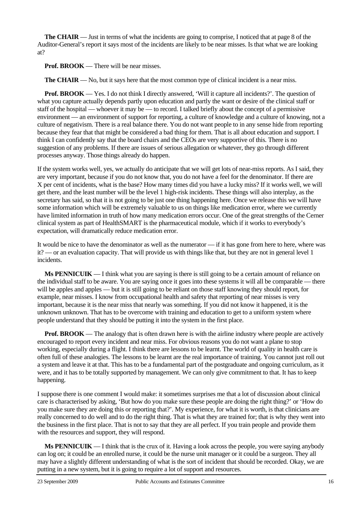**The CHAIR** — Just in terms of what the incidents are going to comprise, I noticed that at page 8 of the Auditor-General's report it says most of the incidents are likely to be near misses. Is that what we are looking at?

**Prof. BROOK** — There will be near misses.

**The CHAIR** — No, but it says here that the most common type of clinical incident is a near miss.

**Prof. BROOK** — Yes. I do not think I directly answered, 'Will it capture all incidents?'. The question of what you capture actually depends partly upon education and partly the want or desire of the clinical staff or staff of the hospital — whoever it may be — to record. I talked briefly about the concept of a permissive environment — an environment of support for reporting, a culture of knowledge and a culture of knowing, not a culture of negativism. There is a real balance there. You do not want people to in any sense hide from reporting because they fear that that might be considered a bad thing for them. That is all about education and support. I think I can confidently say that the board chairs and the CEOs are very supportive of this. There is no suggestion of any problems. If there are issues of serious allegation or whatever, they go through different processes anyway. Those things already do happen.

If the system works well, yes, we actually do anticipate that we will get lots of near-miss reports. As I said, they are very important, because if you do not know that, you do not have a feel for the denominator. If there are X per cent of incidents, what is the base? How many times did you have a lucky miss? If it works well, we will get there, and the least number will be the level 1 high-risk incidents. These things will also interplay, as the secretary has said, so that it is not going to be just one thing happening here. Once we release this we will have some information which will be extremely valuable to us on things like medication error, where we currently have limited information in truth of how many medication errors occur. One of the great strengths of the Cerner clinical system as part of HealthSMART is the pharmaceutical module, which if it works to everybody's expectation, will dramatically reduce medication error.

It would be nice to have the denominator as well as the numerator — if it has gone from here to here, where was it? — or an evaluation capacity. That will provide us with things like that, but they are not in general level 1 incidents.

**Ms PENNICUIK** — I think what you are saying is there is still going to be a certain amount of reliance on the individual staff to be aware. You are saying once it goes into these systems it will all be comparable — there will be apples and apples — but it is still going to be reliant on those staff knowing they should report, for example, near misses. I know from occupational health and safety that reporting of near misses is very important, because it is the near miss that nearly was something. If you did not know it happened, it is the unknown unknown. That has to be overcome with training and education to get to a uniform system where people understand that they should be putting it into the system in the first place.

**Prof. <b>BROOK** — The analogy that is often drawn here is with the airline industry where people are actively encouraged to report every incident and near miss. For obvious reasons you do not want a plane to stop working, especially during a flight. I think there are lessons to be learnt. The world of quality in health care is often full of these analogies. The lessons to be learnt are the real importance of training. You cannot just roll out a system and leave it at that. This has to be a fundamental part of the postgraduate and ongoing curriculum, as it were, and it has to be totally supported by management. We can only give commitment to that. It has to keep happening.

I suppose there is one comment I would make: it sometimes surprises me that a lot of discussion about clinical care is characterised by asking, 'But how do you make sure these people are doing the right thing?' or 'How do you make sure they are doing this or reporting that?'. My experience, for what it is worth, is that clinicians are really concerned to do well and to do the right thing. That is what they are trained for; that is why they went into the business in the first place. That is not to say that they are all perfect. If you train people and provide them with the resources and support, they will respond.

**Ms PENNICUIK** — I think that is the crux of it. Having a look across the people, you were saying anybody can log on; it could be an enrolled nurse, it could be the nurse unit manager or it could be a surgeon. They all may have a slightly different understanding of what is the sort of incident that should be recorded. Okay, we are putting in a new system, but it is going to require a lot of support and resources.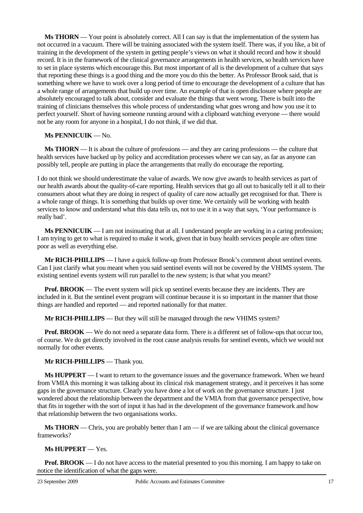**Ms THORN** — Your point is absolutely correct. All I can say is that the implementation of the system has not occurred in a vacuum. There will be training associated with the system itself. There was, if you like, a bit of training in the development of the system in getting people's views on what it should record and how it should record. It is in the framework of the clinical governance arrangements in health services, so health services have to set in place systems which encourage this. But most important of all is the development of a culture that says that reporting these things is a good thing and the more you do this the better. As Professor Brook said, that is something where we have to work over a long period of time to encourage the development of a culture that has a whole range of arrangements that build up over time. An example of that is open disclosure where people are absolutely encouraged to talk about, consider and evaluate the things that went wrong. There is built into the training of clinicians themselves this whole process of understanding what goes wrong and how you use it to perfect yourself. Short of having someone running around with a clipboard watching everyone — there would not be any room for anyone in a hospital, I do not think, if we did that.

## **Ms PENNICUIK** — No.

**Ms THORN** — It is about the culture of professions — and they are caring professions — the culture that health services have backed up by policy and accreditation processes where we can say, as far as anyone can possibly tell, people are putting in place the arrangements that really do encourage the reporting.

I do not think we should underestimate the value of awards. We now give awards to health services as part of our health awards about the quality-of-care reporting. Health services that go all out to basically tell it all to their consumers about what they are doing in respect of quality of care now actually get recognised for that. There is a whole range of things. It is something that builds up over time. We certainly will be working with health services to know and understand what this data tells us, not to use it in a way that says, 'Your performance is really bad'.

**Ms PENNICUIK** — I am not insinuating that at all. I understand people are working in a caring profession; I am trying to get to what is required to make it work, given that in busy health services people are often time poor as well as everything else.

**Mr RICH-PHILLIPS** — I have a quick follow-up from Professor Brook's comment about sentinel events. Can I just clarify what you meant when you said sentinel events will not be covered by the VHIMS system. The existing sentinel events system will run parallel to the new system; is that what you meant?

**Prof. BROOK** — The event system will pick up sentinel events because they are incidents. They are included in it. But the sentinel event program will continue because it is so important in the manner that those things are handled and reported — and reported nationally for that matter.

**Mr RICH-PHILLIPS** — But they will still be managed through the new VHIMS system?

**Prof. BROOK** — We do not need a separate data form. There is a different set of follow-ups that occur too, of course. We do get directly involved in the root cause analysis results for sentinel events, which we would not normally for other events.

**Mr RICH-PHILLIPS** — Thank you.

**Ms HUPPERT** — I want to return to the governance issues and the governance framework. When we heard from VMIA this morning it was talking about its clinical risk management strategy, and it perceives it has some gaps in the governance structure. Clearly you have done a lot of work on the governance structure. I just wondered about the relationship between the department and the VMIA from that governance perspective, how that fits in together with the sort of input it has had in the development of the governance framework and how that relationship between the two organisations works.

**Ms THORN** — Chris, you are probably better than I am — if we are talking about the clinical governance frameworks?

# **Ms HUPPERT** — Yes.

**Prof. BROOK** — I do not have access to the material presented to you this morning. I am happy to take on notice the identification of what the gaps were.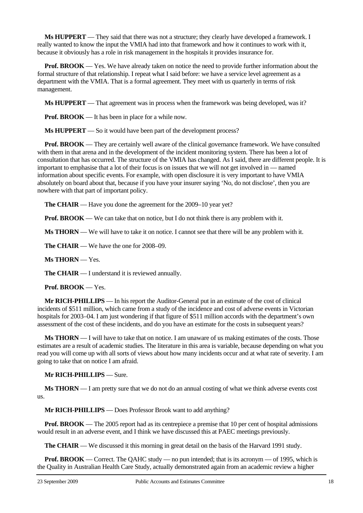**Ms HUPPERT** — They said that there was not a structure; they clearly have developed a framework. I really wanted to know the input the VMIA had into that framework and how it continues to work with it, because it obviously has a role in risk management in the hospitals it provides insurance for.

**Prof. BROOK** — Yes. We have already taken on notice the need to provide further information about the formal structure of that relationship. I repeat what I said before: we have a service level agreement as a department with the VMIA. That is a formal agreement. They meet with us quarterly in terms of risk management.

**Ms HUPPERT** — That agreement was in process when the framework was being developed, was it?

**Prof. BROOK** — It has been in place for a while now.

**Ms HUPPERT** — So it would have been part of the development process?

**Prof. BROOK** — They are certainly well aware of the clinical governance framework. We have consulted with them in that arena and in the development of the incident monitoring system. There has been a lot of consultation that has occurred. The structure of the VMIA has changed. As I said, there are different people. It is important to emphasise that a lot of their focus is on issues that we will not get involved in — named information about specific events. For example, with open disclosure it is very important to have VMIA absolutely on board about that, because if you have your insurer saying 'No, do not disclose', then you are nowhere with that part of important policy.

**The CHAIR** — Have you done the agreement for the 2009–10 year yet?

**Prof. BROOK** — We can take that on notice, but I do not think there is any problem with it.

**Ms THORN** — We will have to take it on notice. I cannot see that there will be any problem with it.

**The CHAIR** — We have the one for 2008–09.

**Ms THORN** — Yes.

**The CHAIR** — I understand it is reviewed annually.

**Prof. BROOK** — Yes.

**Mr RICH-PHILLIPS** — In his report the Auditor-General put in an estimate of the cost of clinical incidents of \$511 million, which came from a study of the incidence and cost of adverse events in Victorian hospitals for 2003–04. I am just wondering if that figure of \$511 million accords with the department's own assessment of the cost of these incidents, and do you have an estimate for the costs in subsequent years?

**Ms THORN** — I will have to take that on notice. I am unaware of us making estimates of the costs. Those estimates are a result of academic studies. The literature in this area is variable, because depending on what you read you will come up with all sorts of views about how many incidents occur and at what rate of severity. I am going to take that on notice I am afraid.

**Mr RICH-PHILLIPS** — Sure.

**Ms THORN** — I am pretty sure that we do not do an annual costing of what we think adverse events cost us.

**Mr RICH-PHILLIPS** — Does Professor Brook want to add anything?

**Prof. BROOK** — The 2005 report had as its centrepiece a premise that 10 per cent of hospital admissions would result in an adverse event, and I think we have discussed this at PAEC meetings previously.

**The CHAIR** — We discussed it this morning in great detail on the basis of the Harvard 1991 study.

**Prof. BROOK** — Correct. The QAHC study — no pun intended; that is its acronym — of 1995, which is the Quality in Australian Health Care Study, actually demonstrated again from an academic review a higher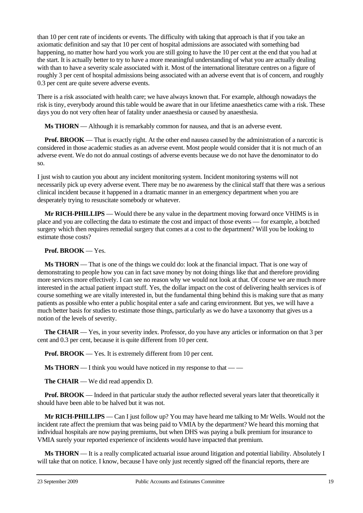than 10 per cent rate of incidents or events. The difficulty with taking that approach is that if you take an axiomatic definition and say that 10 per cent of hospital admissions are associated with something bad happening, no matter how hard you work you are still going to have the 10 per cent at the end that you had at the start. It is actually better to try to have a more meaningful understanding of what you are actually dealing with than to have a severity scale associated with it. Most of the international literature centres on a figure of roughly 3 per cent of hospital admissions being associated with an adverse event that is of concern, and roughly 0.3 per cent are quite severe adverse events.

There is a risk associated with health care; we have always known that. For example, although nowadays the risk is tiny, everybody around this table would be aware that in our lifetime anaesthetics came with a risk. These days you do not very often hear of fatality under anaesthesia or caused by anaesthesia.

**Ms THORN** — Although it is remarkably common for nausea, and that is an adverse event.

**Prof. BROOK** — That is exactly right. At the other end nausea caused by the administration of a narcotic is considered in those academic studies as an adverse event. Most people would consider that it is not much of an adverse event. We do not do annual costings of adverse events because we do not have the denominator to do so.

I just wish to caution you about any incident monitoring system. Incident monitoring systems will not necessarily pick up every adverse event. There may be no awareness by the clinical staff that there was a serious clinical incident because it happened in a dramatic manner in an emergency department when you are desperately trying to resuscitate somebody or whatever.

**Mr RICH-PHILLIPS** — Would there be any value in the department moving forward once VHIMS is in place and you are collecting the data to estimate the cost and impact of those events — for example, a botched surgery which then requires remedial surgery that comes at a cost to the department? Will you be looking to estimate those costs?

# **Prof. BROOK** — Yes.

**Ms THORN** — That is one of the things we could do: look at the financial impact. That is one way of demonstrating to people how you can in fact save money by not doing things like that and therefore providing more services more effectively. I can see no reason why we would not look at that. Of course we are much more interested in the actual patient impact stuff. Yes, the dollar impact on the cost of delivering health services is of course something we are vitally interested in, but the fundamental thing behind this is making sure that as many patients as possible who enter a public hospital enter a safe and caring environment. But yes, we will have a much better basis for studies to estimate those things, particularly as we do have a taxonomy that gives us a notion of the levels of severity.

**The CHAIR** — Yes, in your severity index. Professor, do you have any articles or information on that 3 per cent and 0.3 per cent, because it is quite different from 10 per cent.

**Prof. BROOK** — Yes. It is extremely different from 10 per cent.

**Ms THORN** — I think you would have noticed in my response to that — —

**The CHAIR** — We did read appendix D.

**Prof. BROOK** — Indeed in that particular study the author reflected several years later that theoretically it should have been able to be halved but it was not.

**Mr RICH-PHILLIPS** — Can I just follow up? You may have heard me talking to Mr Wells. Would not the incident rate affect the premium that was being paid to VMIA by the department? We heard this morning that individual hospitals are now paying premiums, but when DHS was paying a bulk premium for insurance to VMIA surely your reported experience of incidents would have impacted that premium.

**Ms THORN** — It is a really complicated actuarial issue around litigation and potential liability. Absolutely I will take that on notice. I know, because I have only just recently signed off the financial reports, there are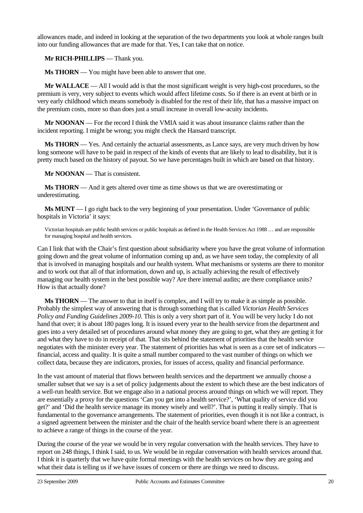allowances made, and indeed in looking at the separation of the two departments you look at whole ranges built into our funding allowances that are made for that. Yes, I can take that on notice.

# **Mr RICH-PHILLIPS** — Thank you.

**Ms THORN** — You might have been able to answer that one.

**Mr WALLACE** — All I would add is that the most significant weight is very high-cost procedures, so the premium is very, very subject to events which would affect lifetime costs. So if there is an event at birth or in very early childhood which means somebody is disabled for the rest of their life, that has a massive impact on the premium costs, more so than does just a small increase in overall low-acuity incidents.

**Mr NOONAN** — For the record I think the VMIA said it was about insurance claims rather than the incident reporting. I might be wrong; you might check the Hansard transcript.

**Ms THORN** — Yes. And certainly the actuarial assessments, as Lance says, are very much driven by how long someone will have to be paid in respect of the kinds of events that are likely to lead to disability, but it is pretty much based on the history of payout. So we have percentages built in which are based on that history.

**Mr NOONAN** — That is consistent.

**Ms THORN** — And it gets altered over time as time shows us that we are overestimating or underestimating.

**Ms MUNT** — I go right back to the very beginning of your presentation. Under 'Governance of public hospitals in Victoria' it says:

Victorian hospitals are public health services or public hospitals as defined in the Health Services Act 1988 … and are responsible for managing hospital and health services.

Can I link that with the Chair's first question about subsidiarity where you have the great volume of information going down and the great volume of information coming up and, as we have seen today, the complexity of all that is involved in managing hospitals and our health system. What mechanisms or systems are there to monitor and to work out that all of that information, down and up, is actually achieving the result of effectively managing our health system in the best possible way? Are there internal audits; are there compliance units? How is that actually done?

**Ms THORN** — The answer to that in itself is complex, and I will try to make it as simple as possible. Probably the simplest way of answering that is through something that is called *Victorian Health Services Policy and Funding Guidelines 2009-10*. This is only a very short part of it. You will be very lucky I do not hand that over; it is about 180 pages long. It is issued every year to the health service from the department and goes into a very detailed set of procedures around what money they are going to get, what they are getting it for and what they have to do in receipt of that. That sits behind the statement of priorities that the health service negotiates with the minister every year. The statement of priorities has what is seen as a core set of indicators financial, access and quality. It is quite a small number compared to the vast number of things on which we collect data, because they are indicators, proxies, for issues of access, quality and financial performance.

In the vast amount of material that flows between health services and the department we annually choose a smaller subset that we say is a set of policy judgements about the extent to which these are the best indicators of a well-run health service. But we engage also in a national process around things on which we will report. They are essentially a proxy for the questions 'Can you get into a health service?', 'What quality of service did you get?' and 'Did the health service manage its money wisely and well?'. That is putting it really simply. That is fundamental to the governance arrangements. The statement of priorities, even though it is not like a contract, is a signed agreement between the minister and the chair of the health service board where there is an agreement to achieve a range of things in the course of the year.

During the course of the year we would be in very regular conversation with the health services. They have to report on 248 things, I think I said, to us. We would be in regular conversation with health services around that. I think it is quarterly that we have quite formal meetings with the health services on how they are going and what their data is telling us if we have issues of concern or there are things we need to discuss.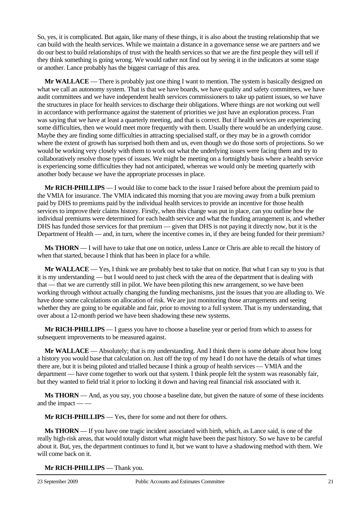So, yes, it is complicated. But again, like many of these things, it is also about the trusting relationship that we can build with the health services. While we maintain a distance in a governance sense we are partners and we do our best to build relationships of trust with the health services so that we are the first people they will tell if they think something is going wrong. We would rather not find out by seeing it in the indicators at some stage or another. Lance probably has the biggest carriage of this area.

**Mr WALLACE** — There is probably just one thing I want to mention. The system is basically designed on what we call an autonomy system. That is that we have boards, we have quality and safety committees, we have audit committees and we have independent health services commissioners to take up patient issues, so we have the structures in place for health services to discharge their obligations. Where things are not working out well in accordance with performance against the statement of priorities we just have an exploration process. Fran was saying that we have at least a quarterly meeting, and that is correct. But if health services are experiencing some difficulties, then we would meet more frequently with them. Usually there would be an underlying cause. Maybe they are finding some difficulties in attracting specialised staff, or they may be in a growth corridor where the extent of growth has surprised both them and us, even though we do those sorts of projections. So we would be working very closely with them to work out what the underlying issues were facing them and try to collaboratively resolve those types of issues. We might be meeting on a fortnightly basis where a health service is experiencing some difficulties they had not anticipated, whereas we would only be meeting quarterly with another body because we have the appropriate processes in place.

**Mr RICH-PHILLIPS** — I would like to come back to the issue I raised before about the premium paid to the VMIA for insurance. The VMIA indicated this morning that you are moving away from a bulk premium paid by DHS to premiums paid by the individual health services to provide an incentive for those health services to improve their claims history. Firstly, when this change was put in place, can you outline how the individual premiums were determined for each health service and what the funding arrangement is, and whether DHS has funded those services for that premium — given that DHS is not paying it directly now, but it is the Department of Health — and, in turn, where the incentive comes in, if they are being funded for their premium?

**Ms THORN** — I will have to take that one on notice, unless Lance or Chris are able to recall the history of when that started, because I think that has been in place for a while.

**Mr WALLACE** — Yes, I think we are probably best to take that on notice. But what I can say to you is that it is my understanding — but I would need to just check with the area of the department that is dealing with that — that we are currently still in pilot. We have been piloting this new arrangement, so we have been working through without actually changing the funding mechanisms, just the issues that you are alluding to. We have done some calculations on allocation of risk. We are just monitoring those arrangements and seeing whether they are going to be equitable and fair, prior to moving to a full system. That is my understanding, that over about a 12-month period we have been shadowing these new systems.

**Mr RICH-PHILLIPS** — I guess you have to choose a baseline year or period from which to assess for subsequent improvements to be measured against.

**Mr WALLACE** — Absolutely; that is my understanding. And I think there is some debate about how long a history you would base that calculation on. Just off the top of my head I do not have the details of what times there are, but it is being piloted and trialled because I think a group of health services — VMIA and the department — have come together to work out that system. I think people felt the system was reasonably fair, but they wanted to field trial it prior to locking it down and having real financial risk associated with it.

**Ms THORN** — And, as you say, you choose a baseline date, but given the nature of some of these incidents and the impact — —

**Mr RICH-PHILLIPS** — Yes, there for some and not there for others.

**Ms THORN** — If you have one tragic incident associated with birth, which, as Lance said, is one of the really high-risk areas, that would totally distort what might have been the past history. So we have to be careful about it. But, yes, the department continues to fund it, but we want to have a shadowing method with them. We will come back on it.

**Mr RICH-PHILLIPS** — Thank you.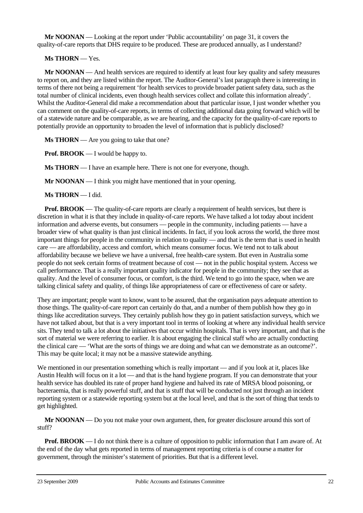**Mr NOONAN** — Looking at the report under 'Public accountability' on page 31, it covers the quality-of-care reports that DHS require to be produced. These are produced annually, as I understand?

# **Ms THORN** — Yes.

**Mr NOONAN** — And health services are required to identify at least four key quality and safety measures to report on, and they are listed within the report. The Auditor-General's last paragraph there is interesting in terms of there not being a requirement 'for health services to provide broader patient safety data, such as the total number of clinical incidents, even though health services collect and collate this information already'. Whilst the Auditor-General did make a recommendation about that particular issue, I just wonder whether you can comment on the quality-of-care reports, in terms of collecting additional data going forward which will be of a statewide nature and be comparable, as we are hearing, and the capacity for the quality-of-care reports to potentially provide an opportunity to broaden the level of information that is publicly disclosed?

**Ms THORN** — Are you going to take that one?

**Prof. BROOK** — I would be happy to.

**Ms THORN** — I have an example here. There is not one for everyone, though.

**Mr NOONAN** — I think you might have mentioned that in your opening.

**Ms THORN** — I did.

**Prof. BROOK** — The quality-of-care reports are clearly a requirement of health services, but there is discretion in what it is that they include in quality-of-care reports. We have talked a lot today about incident information and adverse events, but consumers — people in the community, including patients — have a broader view of what quality is than just clinical incidents. In fact, if you look across the world, the three most important things for people in the community in relation to quality — and that is the term that is used in health care — are affordability, access and comfort, which means consumer focus. We tend not to talk about affordability because we believe we have a universal, free health-care system. But even in Australia some people do not seek certain forms of treatment because of cost — not in the public hospital system. Access we call performance. That is a really important quality indicator for people in the community; they see that as quality. And the level of consumer focus, or comfort, is the third. We tend to go into the space, when we are talking clinical safety and quality, of things like appropriateness of care or effectiveness of care or safety.

They are important; people want to know, want to be assured, that the organisation pays adequate attention to those things. The quality-of-care report can certainly do that, and a number of them publish how they go in things like accreditation surveys. They certainly publish how they go in patient satisfaction surveys, which we have not talked about, but that is a very important tool in terms of looking at where any individual health service sits. They tend to talk a lot about the initiatives that occur within hospitals. That is very important, and that is the sort of material we were referring to earlier. It is about engaging the clinical staff who are actually conducting the clinical care — 'What are the sorts of things we are doing and what can we demonstrate as an outcome?'. This may be quite local; it may not be a massive statewide anything.

We mentioned in our presentation something which is really important — and if you look at it, places like Austin Health will focus on it a lot — and that is the hand hygiene program. If you can demonstrate that your health service has doubled its rate of proper hand hygiene and halved its rate of MRSA blood poisoning, or bacteraemia, that is really powerful stuff, and that is stuff that will be conducted not just through an incident reporting system or a statewide reporting system but at the local level, and that is the sort of thing that tends to get highlighted.

**Mr NOONAN** — Do you not make your own argument, then, for greater disclosure around this sort of stuff?

**Prof. BROOK** — I do not think there is a culture of opposition to public information that I am aware of. At the end of the day what gets reported in terms of management reporting criteria is of course a matter for government, through the minister's statement of priorities. But that is a different level.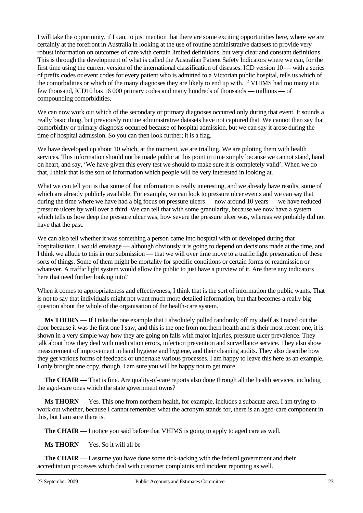I will take the opportunity, if I can, to just mention that there are some exciting opportunities here, where we are certainly at the forefront in Australia in looking at the use of routine administrative datasets to provide very robust information on outcomes of care with certain limited definitions, but very clear and constant definitions. This is through the development of what is called the Australian Patient Safety Indicators where we can, for the first time using the current version of the international classification of diseases. ICD version 10 — with a series of prefix codes or event codes for every patient who is admitted to a Victorian public hospital, tells us which of the comorbidities or which of the many diagnoses they are likely to end up with. If VHIMS had too many at a few thousand, ICD10 has 16 000 primary codes and many hundreds of thousands — millions — of compounding comorbidities.

We can now work out which of the secondary or primary diagnoses occurred only during that event. It sounds a really basic thing, but previously routine administrative datasets have not captured that. We cannot then say that comorbidity or primary diagnosis occurred because of hospital admission, but we can say it arose during the time of hospital admission. So you can then look further; it is a flag.

We have developed up about 10 which, at the moment, we are trialling. We are piloting them with health services. This information should not be made public at this point in time simply because we cannot stand, hand on heart, and say, 'We have given this every test we should to make sure it is completely valid'. When we do that, I think that is the sort of information which people will be very interested in looking at.

What we can tell you is that some of that information is really interesting, and we already have results, some of which are already publicly available. For example, we can look to pressure ulcer events and we can say that during the time where we have had a big focus on pressure ulcers — now around 10 years — we have reduced pressure ulcers by well over a third. We can tell that with some granularity, because we now have a system which tells us how deep the pressure ulcer was, how severe the pressure ulcer was, whereas we probably did not have that the past.

We can also tell whether it was something a person came into hospital with or developed during that hospitalisation. I would envisage — although obviously it is going to depend on decisions made at the time, and I think we allude to this in our submission — that we will over time move to a traffic light presentation of these sorts of things. Some of them might be mortality for specific conditions or certain forms of readmission or whatever. A traffic light system would allow the public to just have a purview of it. Are there any indicators here that need further looking into?

When it comes to appropriateness and effectiveness, I think that is the sort of information the public wants. That is not to say that individuals might not want much more detailed information, but that becomes a really big question about the whole of the organisation of the health-care system.

**Ms THORN** — If I take the one example that I absolutely pulled randomly off my shelf as I raced out the door because it was the first one I saw, and this is the one from northern health and is their most recent one, it is shown in a very simple way how they are going on falls with major injuries, pressure ulcer prevalence. They talk about how they deal with medication errors, infection prevention and surveillance service. They also show measurement of improvement in hand hygiene and hygiene, and their cleaning audits. They also describe how they get various forms of feedback or undertake various processes. I am happy to leave this here as an example. I only brought one copy, though. I am sure you will be happy not to get more.

**The CHAIR** — That is fine. Are quality-of-care reports also done through all the health services, including the aged-care ones which the state government owns?

**Ms THORN** — Yes. This one from northern health, for example, includes a subacute area. I am trying to work out whether, because I cannot remember what the acronym stands for, there is an aged-care component in this, but I am sure there is.

**The CHAIR** — I notice you said before that VHIMS is going to apply to aged care as well.

**Ms THORN** — Yes. So it will all be — —

**The CHAIR** — I assume you have done some tick-tacking with the federal government and their accreditation processes which deal with customer complaints and incident reporting as well.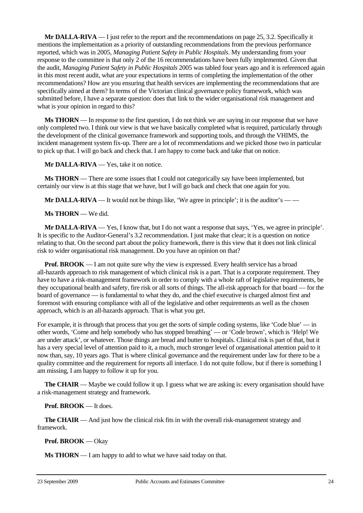**Mr DALLA-RIVA** — I just refer to the report and the recommendations on page 25, 3.2. Specifically it mentions the implementation as a priority of outstanding recommendations from the previous performance reported, which was in 2005, *Managing Patient Safety in Public Hospitals*. My understanding from your response to the committee is that only 2 of the 16 recommendations have been fully implemented. Given that the audit, *Managing Patient Safety in Public Hospitals* 2005 was tabled four years ago and it is referenced again in this most recent audit, what are your expectations in terms of completing the implementation of the other recommendations? How are you ensuring that health services are implementing the recommendations that are specifically aimed at them? In terms of the Victorian clinical governance policy framework, which was submitted before, I have a separate question: does that link to the wider organisational risk management and what is your opinion in regard to this?

**Ms THORN** — In response to the first question, I do not think we are saying in our response that we have only completed two. I think our view is that we have basically completed what is required, particularly through the development of the clinical governance framework and supporting tools, and through the VHIMS, the incident management system fix-up. There are a lot of recommendations and we picked those two in particular to pick up that. I will go back and check that. I am happy to come back and take that on notice.

**Mr DALLA-RIVA** — Yes, take it on notice.

**Ms THORN** — There are some issues that I could not categorically say have been implemented, but certainly our view is at this stage that we have, but I will go back and check that one again for you.

**Mr DALLA-RIVA** — It would not be things like, 'We agree in principle'; it is the auditor's — —

## **Ms THORN** — We did.

**Mr DALLA-RIVA** — Yes, I know that, but I do not want a response that says, 'Yes, we agree in principle'. It is specific to the Auditor-General's 3.2 recommendation. I just make that clear; it is a question on notice relating to that. On the second part about the policy framework, there is this view that it does not link clinical risk to wider organisational risk management. Do you have an opinion on that?

**Prof. BROOK** — I am not quite sure why the view is expressed. Every health service has a broad all-hazards approach to risk management of which clinical risk is a part. That is a corporate requirement. They have to have a risk-management framework in order to comply with a whole raft of legislative requirements, be they occupational health and safety, fire risk or all sorts of things. The all-risk approach for that board — for the board of governance — is fundamental to what they do, and the chief executive is charged almost first and foremost with ensuring compliance with all of the legislative and other requirements as well as the chosen approach, which is an all-hazards approach. That is what you get.

For example, it is through that process that you get the sorts of simple coding systems, like 'Code blue' — in other words, 'Come and help somebody who has stopped breathing' — or 'Code brown', which is 'Help! We are under attack', or whatever. Those things are bread and butter to hospitals. Clinical risk is part of that, but it has a very special level of attention paid to it, a much, much stronger level of organisational attention paid to it now than, say, 10 years ago. That is where clinical governance and the requirement under law for there to be a quality committee and the requirement for reports all interface. I do not quite follow, but if there is something I am missing, I am happy to follow it up for you.

**The CHAIR** — Maybe we could follow it up. I guess what we are asking is: every organisation should have a risk-management strategy and framework.

**Prof. BROOK** — It does.

**The CHAIR** — And just how the clinical risk fits in with the overall risk-management strategy and framework.

# **Prof. BROOK** — Okay

**Ms THORN** — I am happy to add to what we have said today on that.